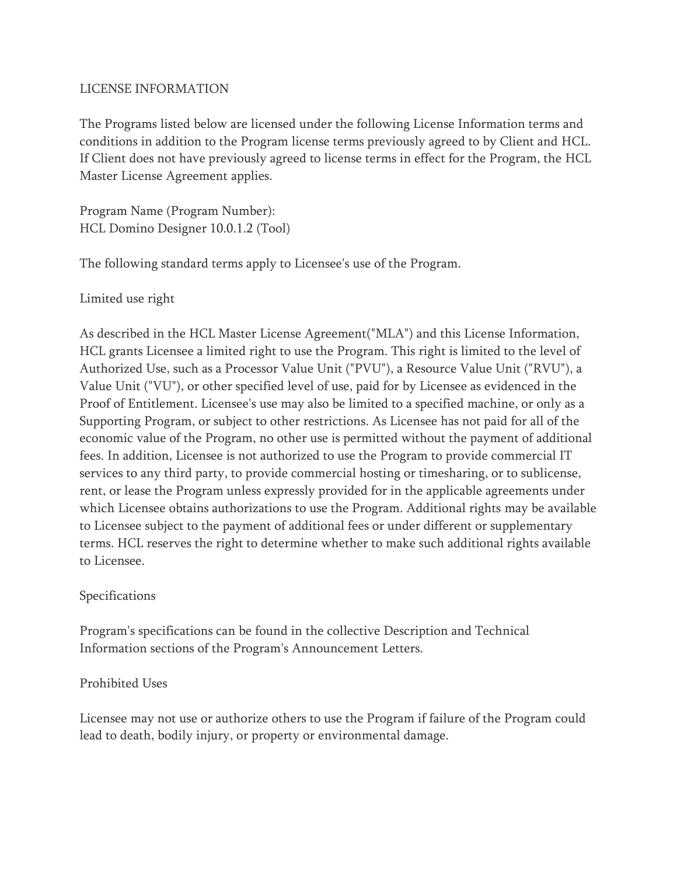## LICENSE INFORMATION

The Programs listed below are licensed under the following License Information terms and conditions in addition to the Program license terms previously agreed to by Client and HCL. If Client does not have previously agreed to license terms in effect for the Program, the HCL Master License Agreement applies.

Program Name (Program Number): HCL Domino Designer 10.0.1.2 (Tool)

The following standard terms apply to Licensee's use of the Program.

Limited use right

As described in the HCL Master License Agreement("MLA") and this License Information, HCL grants Licensee a limited right to use the Program. This right is limited to the level of Authorized Use, such as a Processor Value Unit ("PVU"), a Resource Value Unit ("RVU"), a Value Unit ("VU"), or other specified level of use, paid for by Licensee as evidenced in the Proof of Entitlement. Licensee's use may also be limited to a specified machine, or only as a Supporting Program, or subject to other restrictions. As Licensee has not paid for all of the economic value of the Program, no other use is permitted without the payment of additional fees. In addition, Licensee is not authorized to use the Program to provide commercial IT services to any third party, to provide commercial hosting or timesharing, or to sublicense, rent, or lease the Program unless expressly provided for in the applicable agreements under which Licensee obtains authorizations to use the Program. Additional rights may be available to Licensee subject to the payment of additional fees or under different or supplementary terms. HCL reserves the right to determine whether to make such additional rights available to Licensee.

## Specifications

Program's specifications can be found in the collective Description and Technical Information sections of the Program's Announcement Letters.

## Prohibited Uses

Licensee may not use or authorize others to use the Program if failure of the Program could lead to death, bodily injury, or property or environmental damage.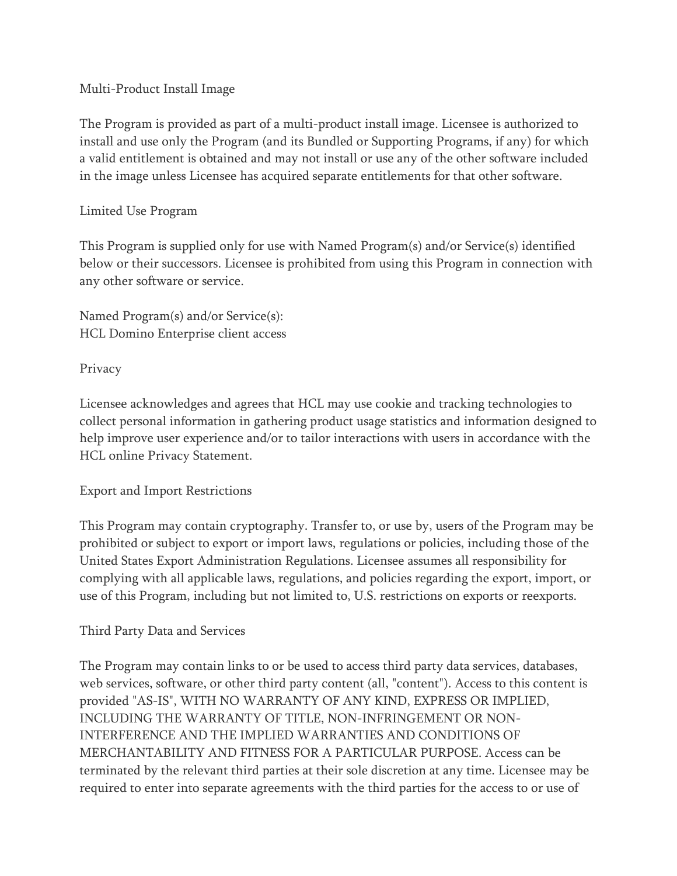Multi-Product Install Image

The Program is provided as part of a multi-product install image. Licensee is authorized to install and use only the Program (and its Bundled or Supporting Programs, if any) for which a valid entitlement is obtained and may not install or use any of the other software included in the image unless Licensee has acquired separate entitlements for that other software.

## Limited Use Program

This Program is supplied only for use with Named Program(s) and/or Service(s) identified below or their successors. Licensee is prohibited from using this Program in connection with any other software or service.

Named Program(s) and/or Service(s): HCL Domino Enterprise client access

Privacy

Licensee acknowledges and agrees that HCL may use cookie and tracking technologies to collect personal information in gathering product usage statistics and information designed to help improve user experience and/or to tailor interactions with users in accordance with the HCL online Privacy Statement.

# Export and Import Restrictions

This Program may contain cryptography. Transfer to, or use by, users of the Program may be prohibited or subject to export or import laws, regulations or policies, including those of the United States Export Administration Regulations. Licensee assumes all responsibility for complying with all applicable laws, regulations, and policies regarding the export, import, or use of this Program, including but not limited to, U.S. restrictions on exports or reexports.

## Third Party Data and Services

The Program may contain links to or be used to access third party data services, databases, web services, software, or other third party content (all, "content"). Access to this content is provided "AS-IS", WITH NO WARRANTY OF ANY KIND, EXPRESS OR IMPLIED, INCLUDING THE WARRANTY OF TITLE, NON-INFRINGEMENT OR NON-INTERFERENCE AND THE IMPLIED WARRANTIES AND CONDITIONS OF MERCHANTABILITY AND FITNESS FOR A PARTICULAR PURPOSE. Access can be terminated by the relevant third parties at their sole discretion at any time. Licensee may be required to enter into separate agreements with the third parties for the access to or use of